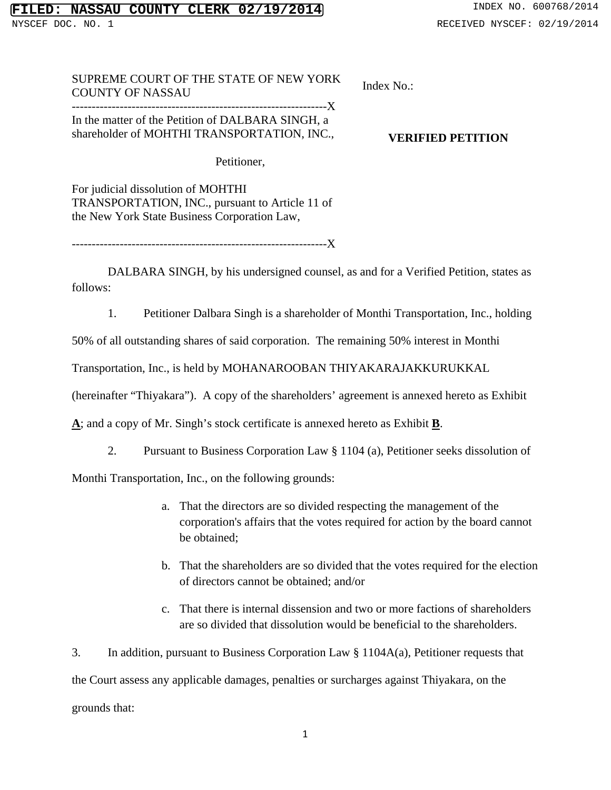## **FIRED: NASSAU COUNTY CLERK 02/19/2014** INDEX NO. 600768/2014

## SUPREME COURT OF THE STATE OF NEW YORK COUNTY OF NASSAU

----------------------------------------------------------------X

In the matter of the Petition of DALBARA SINGH, a shareholder of MOHTHI TRANSPORTATION, INC., Index No.:

## **VERIFIED PETITION**

Petitioner,

For judicial dissolution of MOHTHI TRANSPORTATION, INC., pursuant to Article 11 of the New York State Business Corporation Law,

----------------------------------------------------------------X

 DALBARA SINGH, by his undersigned counsel, as and for a Verified Petition, states as follows:

1. Petitioner Dalbara Singh is a shareholder of Monthi Transportation, Inc., holding

50% of all outstanding shares of said corporation. The remaining 50% interest in Monthi

Transportation, Inc., is held by MOHANAROOBAN THIYAKARAJAKKURUKKAL

(hereinafter "Thiyakara"). A copy of the shareholders' agreement is annexed hereto as Exhibit

**A**; and a copy of Mr. Singh's stock certificate is annexed hereto as Exhibit **B**.

2. Pursuant to Business Corporation Law § 1104 (a), Petitioner seeks dissolution of

Monthi Transportation, Inc., on the following grounds:

- a. That the directors are so divided respecting the management of the corporation's affairs that the votes required for action by the board cannot be obtained;
- b. That the shareholders are so divided that the votes required for the election of directors cannot be obtained; and/or
- c. That there is internal dissension and two or more factions of shareholders are so divided that dissolution would be beneficial to the shareholders.

3. In addition, pursuant to Business Corporation Law § 1104A(a), Petitioner requests that the Court assess any applicable damages, penalties or surcharges against Thiyakara, on the grounds that: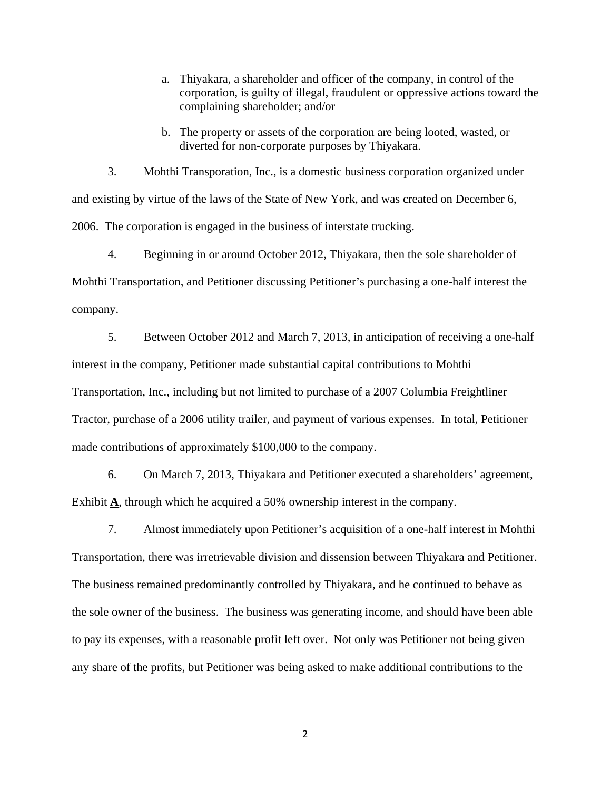- a. Thiyakara, a shareholder and officer of the company, in control of the corporation, is guilty of illegal, fraudulent or oppressive actions toward the complaining shareholder; and/or
- b. The property or assets of the corporation are being looted, wasted, or diverted for non-corporate purposes by Thiyakara.

3. Mohthi Transporation, Inc., is a domestic business corporation organized under and existing by virtue of the laws of the State of New York, and was created on December 6, 2006. The corporation is engaged in the business of interstate trucking.

4. Beginning in or around October 2012, Thiyakara, then the sole shareholder of Mohthi Transportation, and Petitioner discussing Petitioner's purchasing a one-half interest the company.

5. Between October 2012 and March 7, 2013, in anticipation of receiving a one-half interest in the company, Petitioner made substantial capital contributions to Mohthi Transportation, Inc., including but not limited to purchase of a 2007 Columbia Freightliner Tractor, purchase of a 2006 utility trailer, and payment of various expenses. In total, Petitioner made contributions of approximately \$100,000 to the company.

6. On March 7, 2013, Thiyakara and Petitioner executed a shareholders' agreement, Exhibit **A**, through which he acquired a 50% ownership interest in the company.

7. Almost immediately upon Petitioner's acquisition of a one-half interest in Mohthi Transportation, there was irretrievable division and dissension between Thiyakara and Petitioner. The business remained predominantly controlled by Thiyakara, and he continued to behave as the sole owner of the business. The business was generating income, and should have been able to pay its expenses, with a reasonable profit left over. Not only was Petitioner not being given any share of the profits, but Petitioner was being asked to make additional contributions to the

2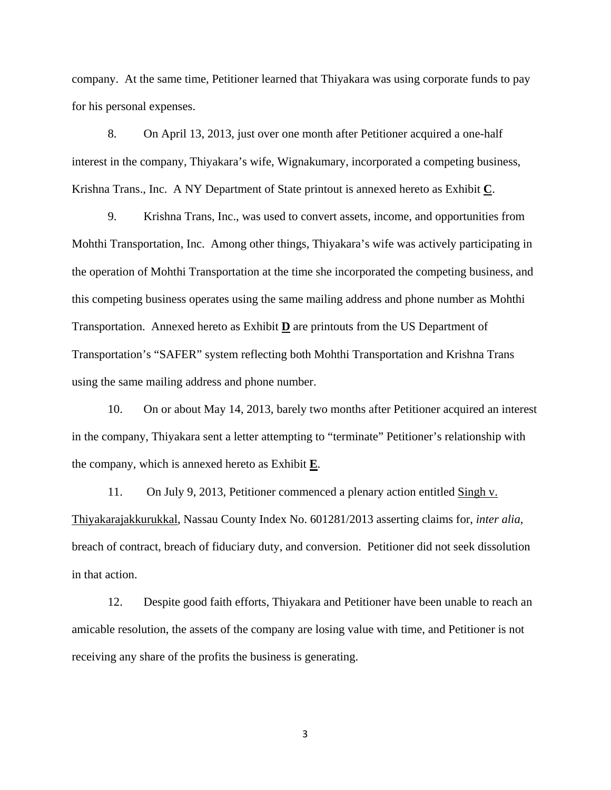company. At the same time, Petitioner learned that Thiyakara was using corporate funds to pay for his personal expenses.

8. On April 13, 2013, just over one month after Petitioner acquired a one-half interest in the company, Thiyakara's wife, Wignakumary, incorporated a competing business, Krishna Trans., Inc. A NY Department of State printout is annexed hereto as Exhibit **C**.

9. Krishna Trans, Inc., was used to convert assets, income, and opportunities from Mohthi Transportation, Inc. Among other things, Thiyakara's wife was actively participating in the operation of Mohthi Transportation at the time she incorporated the competing business, and this competing business operates using the same mailing address and phone number as Mohthi Transportation. Annexed hereto as Exhibit **D** are printouts from the US Department of Transportation's "SAFER" system reflecting both Mohthi Transportation and Krishna Trans using the same mailing address and phone number.

10. On or about May 14, 2013, barely two months after Petitioner acquired an interest in the company, Thiyakara sent a letter attempting to "terminate" Petitioner's relationship with the company, which is annexed hereto as Exhibit **E**.

11. On July 9, 2013, Petitioner commenced a plenary action entitled Singh v. Thiyakarajakkurukkal, Nassau County Index No. 601281/2013 asserting claims for, *inter alia*, breach of contract, breach of fiduciary duty, and conversion. Petitioner did not seek dissolution in that action.

12. Despite good faith efforts, Thiyakara and Petitioner have been unable to reach an amicable resolution, the assets of the company are losing value with time, and Petitioner is not receiving any share of the profits the business is generating.

3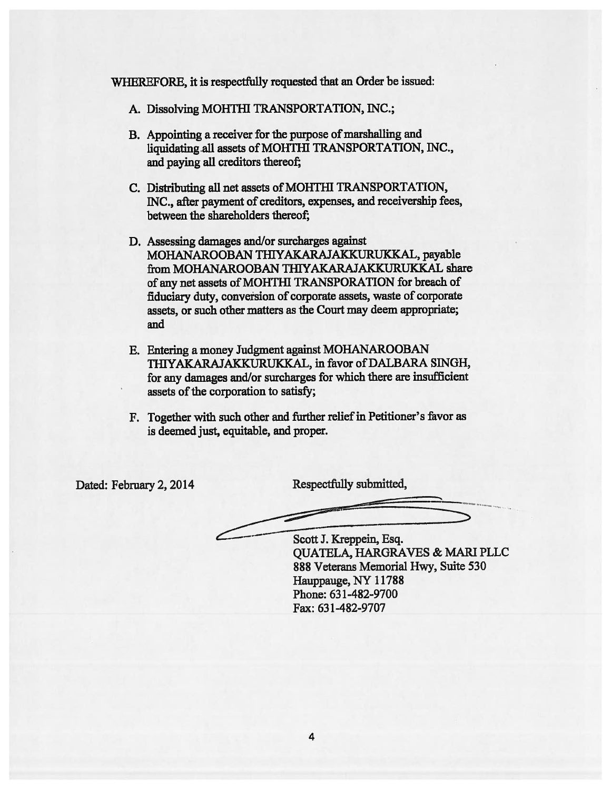WHEREFORE, it is respectfully requested that an Order be issued:

A. Dissolving MOHTHI TRANSPORTATION, INC.;

- B. Appointing a receiver for the purpose of marshalling and liquidating all assets of MOHTHI TRANSPORTATION, INC., and paying all creditors thereof;
- C. Distributing all net assets of MOHTHI TRANSPORTATION, INC., after payment of creditors, expenses, and receivership fees, between the shareholders thereof;
- D. Assessing damages and/or surcharges against MOHANAROOBAN THIYAKARAJAKKURUKKAL, payable from MOHANAROOBAN THIYAKARAJAKKURUKKAL share of any net assets of MOHTHI TRANSPORATION for breach of fiduciary duty, conversion of corporate assets, waste of corporate assets, or such other matters as the Court may deem appropriate; and
- E. Entering a money Judgment against MOHANAROOBAN THIYAKARAJAKKURUKKAL, in favor of DALBARA SINGH, for any damages and/or surcharges for which there are insufficient assets of the corporation to satisfy;
- F. Together with such other and further relief in Petitioner's favor as is deemed just, equitable, and proper.

Dated: February 2, 2014

Respectfully submitted,

Scott J. Kreppein, Esq.

**QUATELA, HARGRAVES & MARI PLLC** 888 Veterans Memorial Hwy, Suite 530 Hauppauge, NY 11788 Phone: 631-482-9700 Fax: 631-482-9707